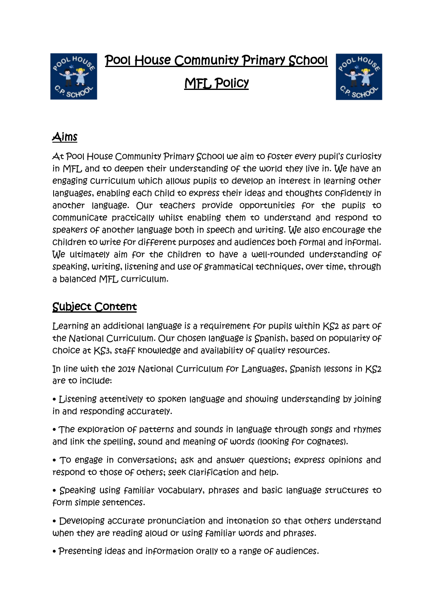Pool House Community Primary School



MFL Policy



# Aims

At Pool House Community Primary School we aim to foster every pupil's curiosity in MFL and to deepen their understanding of the world they live in. We have an engaging curriculum which allows pupils to develop an interest in learning other languages, enabling each child to express their ideas and thoughts confidently in another language. Our teachers provide opportunities for the pupils to communicate practically whilst enabling them to understand and respond to speakers of another language both in speech and writing. We also encourage the children to write for different purposes and audiences both formal and informal. We ultimately aim for the children to have a well-rounded understanding of speaking, writing, listening and use of grammatical techniques, over time, through a balanced MFL curriculum.

## Subject Content

Learning an additional language is a requirement for pupils within KS2 as part of the National Curriculum. Our chosen language is Spanish, based on popularity of choice at KS3, staff knowledge and availability of quality resources.

In line with the 2014 National Curriculum for Languages, Spanish lessons in KS2 are to include:

• Listening attentively to spoken language and showing understanding by joining in and responding accurately.

• The exploration of patterns and sounds in language through songs and rhymes and link the spelling, sound and meaning of words (looking for cognates).

• To engage in conversations; ask and answer questions; express opinions and respond to those of others; seek clarification and help.

• Speaking using familiar vocabulary, phrases and basic language structures to form simple sentences.

• Developing accurate pronunciation and intonation so that others understand when they are reading aloud or using familiar words and phrases.

• Presenting ideas and information orally to a range of audiences.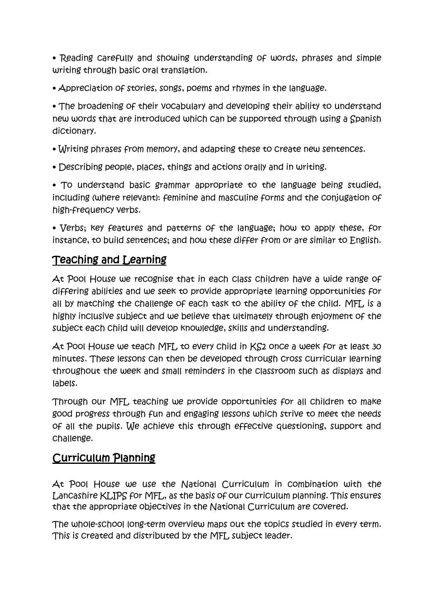• Reading carefully and showing understanding of words, phrases and simple writing through basic oral translation.

• Appreciation of stories, songs, poems and rhymes in the language.

• The broadening of their vocabulary and developing their ability to understand new words that are introduced which can be supported through using a Spanish dictionary.

- Writing phrases from memory, and adapting these to create new sentences.
- Describing people, places, things and actions orally and in writing.

• To understand basic grammar appropriate to the language being studied, including (where relevant): feminine and masculine forms and the conjugation of high-frequency verbs.

• Verbs; key features and patterns of the language; how to apply these, for instance, to build sentences; and how these differ from or are similar to English.

### Teaching and Learning

At Pool House we recognise that in each class children have a wide range of differing abilities and we seek to provide appropriate learning opportunities for all by matching the challenge of each task to the ability of the child. MFL is a highly inclusive subject and we believe that ultimately through enjoyment of the subject each child will develop knowledge, skills and understanding.

At Pool House we teach MFL to every child in KS2 once a week for at least 30 minutes. These lessons can then be developed through cross curricular learning throughout the week and small reminders in the classroom such as displays and labels.

Through our MFL teaching we provide opportunities for all children to make good progress through fun and engaging lessons which strive to meet the needs of all the pupils. We achieve this through effective questioning, support and challenge.

#### Curriculum Planning

At Pool House we use the National Curriculum in combination with the Lancashire KLIPS for MFL, as the basis of our curriculum planning. This ensures that the appropriate objectives in the National Curriculum are covered.

The whole-school long-term overview maps out the topics studied in every term. This is created and distributed by the MFL subject leader.